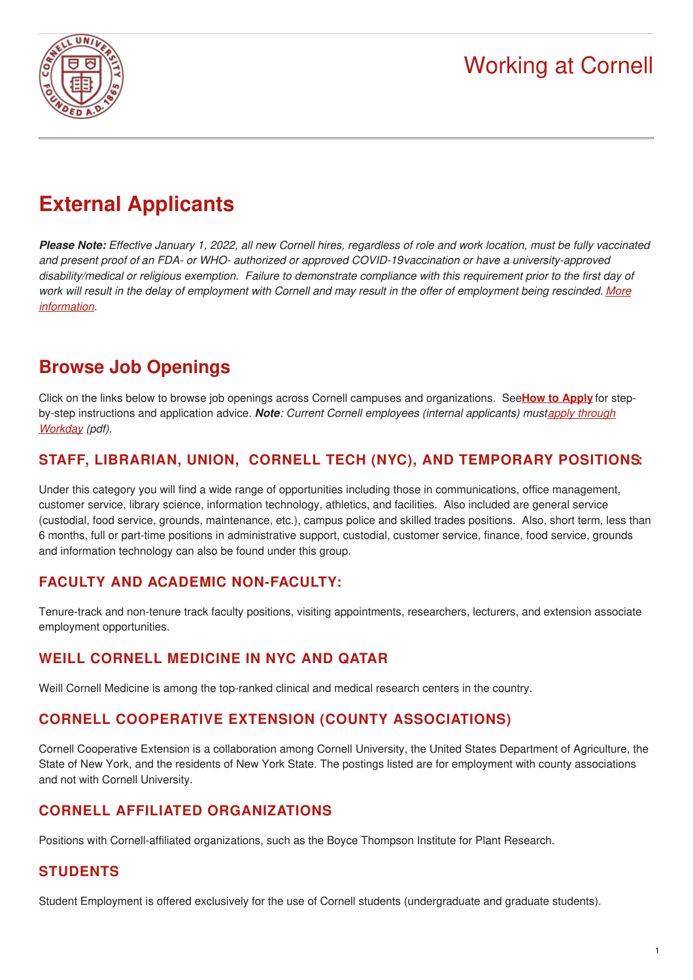



# **External Applicants**

Please Note: Effective January 1, 2022, all new Cornell hires, regardless of role and work location, must be fully vaccinated *and present proof of an FDA- or WHO- authorized or approved COVID-19vaccination or have a university-approved* disability/medical or religious exemption. Failure to demonstrate compliance with this requirement prior to the first day of work will result in the delay of [employment](https://hr.cornell.edu/covid/university-response/vaccination) with Cornell and may result in the offer of employment being rescinded. More *information.*

### **Browse Job Openings**

Click on the links below to browse job openings across Cornell campuses and organizations. See**How to [Apply](https://hr.cornell.edu/jobs/how-we-hire)** for stepby-step [instructions](https://hr.cornell.edu/sites/default/files/ProfessionalProfilesJobAid.pdf) and application advice. *Note: Current Cornell employees (internal applicants) mustapply through Workday (pdf).*

#### **STAFF, LIBRARIAN, UNION, CORNELL TECH (NYC), AND [TEMPORARY](https://cornell.wd1.myworkdayjobs.com/CornellCareerPage) POSITIONS:**

Under this category you will find a wide range of opportunities including those in communications, office management, customer service, library science, information technology, athletics, and facilities. Also included are general service (custodial, food service, grounds, maintenance, etc.), campus police and skilled trades positions. Also, short term, less than 6 months, full or part-time positions in administrative support, custodial, customer service, finance, food service, grounds and information technology can also be found under this group.

#### **FACULTY AND ACADEMIC [NON-FACULTY:](https://apps.hr.cornell.edu/recruiting/facultycareer.cfm)**

Tenure-track and non-tenure track faculty positions, visiting appointments, researchers, lecturers, and extension associate employment opportunities.

#### **WEILL CORNELL [MEDICINE](http://www.med.cornell.edu/careers/index.html) IN NYC AND QATAR**

Weill Cornell Medicine is among the top-ranked clinical and medical research centers in the country.

#### **CORNELL COOPERATIVE EXTENSION (COUNTY [ASSOCIATIONS\)](http://cce.cornell.edu/info/engage)**

Cornell Cooperative Extension is a collaboration among Cornell University, the United States Department of Agriculture, the State of New York, and the residents of New York State. The postings listed are for employment with county associations and not with Cornell University.

#### **CORNELL AFFILIATED [ORGANIZATIONS](https://apps.hr.cornell.edu/recruiting/affiliatescareer.cfm)**

Positions with Cornell-affiliated organizations, such as the Boyce Thompson Institute for Plant Research.

#### **[STUDENTS](http://studentemployment.cornell.edu/student-job-and-intern-service)**

Student Employment is offered exclusively for the use of Cornell students (undergraduate and graduate students).